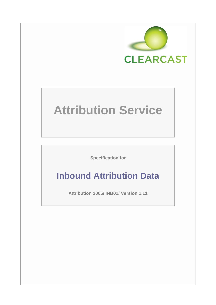

# **Attribution Service**

**Specification for**

# **Inbound Attribution Data**

**Attribution 2005/ INB01/ Version 1.11**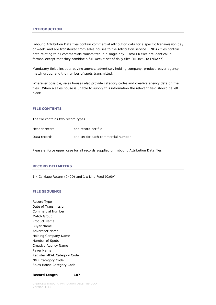Inbound Attribution Data files contain commercial attribution data for a specific transmission day or week, and are transferred from sales houses to the Attribution service. INDAY files contain data relating to all commercials transmitted in a single day. INWEEK files are identical in format, except that they combine a full weeks' set of daily files (INDAY1 to INDAY7).

Mandatory fields include: buying agency, advertiser, holding company, product, payer agency, match group, and the number of spots transmitted.

Wherever possible, sales houses also provide category codes and creative agency data on the files. When a sales house is unable to supply this information the relevant field should be left blank.

# **FILE CONTENTS**

The file contains two record types.

| Header record | $\sim$ 100 $\mu$         | one record per file                |
|---------------|--------------------------|------------------------------------|
| Data records  | $\overline{\phantom{a}}$ | one set for each commercial number |

Please enforce upper case for all records supplied on Inbound Attribution Data files.

#### **RECORD DELIMITERS**

1 x Carriage Return (0x0D) and 1 x Line Feed (0x0A)

#### **FILE SEQUENCE**

Record Type Date of Transmission Commercial Number Match Group Product Name Buyer Name Advertiser Name Holding Company Name Number of Spots Creative Agency Name Payer Name Register MEAL Category Code NMR Category Code Sales House Category Code

#### **Record Length - 187**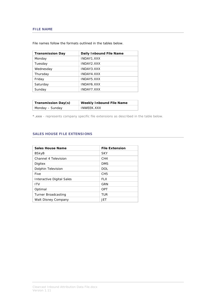# **FILE NAME**

| <b>Transmission Day</b> | Daily Inbound File Name |
|-------------------------|-------------------------|
| Monday                  | INDAY1.XXX              |
| Tuesday                 | INDAY2.XXX              |
| Wednesday               | INDAY3.XXX              |
| Thursday                | INDAY4.XXX              |
| Friday                  | INDAY5.XXX              |
| Saturday                | INDAY6.XXX              |
| Sunday                  | INDAY7.XXX              |

File names follow the formats outlined in the tables below.

| Transmission Day(s) | <b>Weekly Inbound File Name</b> |  |
|---------------------|---------------------------------|--|
| Monday – Sunday     | <b>INWEEK, XXX</b>              |  |

*\*.xxx - represents company specific file extensions as described in the table below.* 

# **SALES HOUSE FILE EXTENSIONS**

| <b>Sales House Name</b>          | <b>File Extension</b> |
|----------------------------------|-----------------------|
| <b>BSkyB</b>                     | <b>SKY</b>            |
| Channel 4 Television             | CH <sub>4</sub>       |
| Digitex                          | <b>DMS</b>            |
| Dolphin Television               | <b>DOL</b>            |
| Five                             | CH <sub>5</sub>       |
| <b>Interactive Digital Sales</b> | FI X                  |
| <b>ITV</b>                       | GRN                   |
| Optimal                          | OPT                   |
| Turner Broadcasting              | TUR                   |
| Walt Disney Company              | JET                   |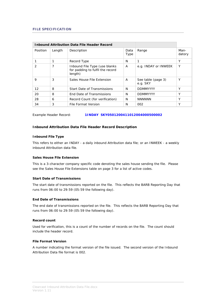| <b>Inbound Attribution Data File Header Record</b> |        |                                                                              |              |                                |                |
|----------------------------------------------------|--------|------------------------------------------------------------------------------|--------------|--------------------------------|----------------|
| Position                                           | Length | Description                                                                  | Data<br>Type | Range                          | Man-<br>datory |
|                                                    |        | Record Type                                                                  | N            | 1                              | Υ              |
| 2                                                  | 7      | Inbound File Type (use blanks<br>for padding to fulfil the record<br>length) | A            | e.g. INDAY or INWEEK           | Υ              |
| 9                                                  | 3      | Sales House File Extension                                                   | A            | See table (page 3)<br>e.g. SKY | Υ              |
| $12 \overline{ }$                                  | 8      | <b>Start Date of Transmissions</b>                                           | N            | <b>DDMMYYYY</b>                | Υ              |
| 20                                                 | 8      | End Date of Transmissions                                                    | N            | <b>DDMMYYYY</b>                | Υ              |
| 28                                                 | 6      | Record Count (for verification)                                              | N            | <b>NNNNNN</b>                  | Υ              |
| 34                                                 | 3      | File Format Version                                                          | N            | 002                            | Υ              |

Example Header Record: **1INDAY SKY0501200411012004000500002**

#### **Inbound Attribution Data File Header Record Description**

#### **Inbound File Type**

This refers to either an INDAY - a daily inbound Attribution data file; or an INWEEK - a weekly inbound Attribution data file.

#### **Sales House File Extension**

This is a 3-character company specific code denoting the sales house sending the file. Please see the Sales House File Extensions table on page 3 for a list of active codes.

#### **Start Date of Transmissions**

The start date of transmissions reported on the file. This reflects the BARB Reporting Day that runs from 06:00 to 29:59 (05:59 the following day).

#### **End Date of Transmissions**

The end date of transmissions reported on the file. This reflects the BARB Reporting Day that runs from 06:00 to 29:59 (05:59 the following day).

## **Record count**

Used for verification, this is a count of the number of records on the file. The count should include the header record.

#### **File Format Version**

A number indicating the format version of the file issued. The second version of the Inbound Attribution Data file format is 002.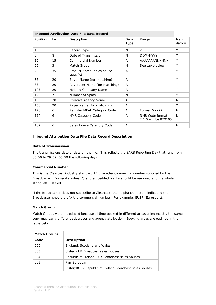| <b>Inbound Attribution Data File Data Record</b> |        |                                        |              |                                         |                |
|--------------------------------------------------|--------|----------------------------------------|--------------|-----------------------------------------|----------------|
| Position                                         | Length | Description                            | Data<br>Type | Range                                   | Man-<br>datory |
| 1                                                | 1      | Record Type                            | N            | $\mathfrak{D}$                          | Y              |
| 2                                                | 8      | Date of Transmission                   | N            | <b>DDMMYYYY</b>                         | Y              |
| 10                                               | 15     | <b>Commercial Number</b>               | A            | AAAAAAANNNNNN                           | Y              |
| 25                                               | 3      | Match Group                            | N            | See table below                         | Y              |
| 28                                               | 35     | Product Name (sales house<br>specific) | A            |                                         | Y              |
| 63                                               | 20     | Buyer Name (for matching)              | A            |                                         | Y              |
| 83                                               | 20     | Advertiser Name (for matching)         | A            |                                         | Y              |
| 103                                              | 20     | <b>Holding Company Name</b>            | A            |                                         | Y              |
| 123                                              | 7      | Number of Spots                        | N            |                                         | Y              |
| 130                                              | 20     | Creative Agency Name                   | A            |                                         | N              |
| 150                                              | 20     | Payer Name (for matching)              | A            |                                         | Y              |
| 170                                              | 6      | Register MEAL Category Code            | A            | Format XXX99                            | N              |
| 176                                              | 6      | <b>NMR Category Code</b>               | A            | NMR Code format<br>2.1.5 will be 020105 | N              |
| 182                                              | 6      | Sales House Category Code              | A            |                                         | N              |

# **Inbound Attribution Data File Data Record Description**

#### **Date of Transmission**

The transmissions date of data on the file. This reflects the BARB Reporting Day that runs from 06:00 to 29:59 (05:59 the following day).

#### **Commercial Number**

This is the Clearcast industry standard 15-character commercial number supplied by the Broadcaster. Forward slashes (/) and embedded blanks should be removed and the whole string left justified.

If the Broadcaster does not subscribe to Clearcast, then alpha characters indicating the Broadcaster should prefix the commercial number. For example: EUSP (Eurosport).

#### **Match Group**

Match Groups were introduced because airtime booked in different areas using exactly the same copy may carry different advertiser and agency attribution. Booking areas are outlined in the table below.

| <b>Match Groups</b> |                                                         |
|---------------------|---------------------------------------------------------|
| Code                | <b>Description</b>                                      |
| 000                 | England, Scotland and Wales                             |
| 003                 | Ulster - UK Broadcast sales houses                      |
| 004                 | Republic of Ireland - UK Broadcast sales houses         |
| 005                 | Pan-European                                            |
| 006                 | Ulster/ROI - Republic of Ireland Broadcast sales houses |

H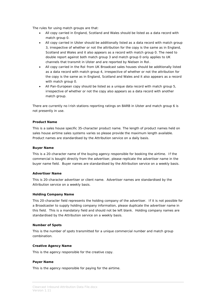The rules for using match groups are that:

- All copy carried in England, Scotland and Wales should be listed as a data record with match group 0.
- All copy carried in Ulster should be additionally listed as a data record with match group 3, irrespective of whether or not the attribution for the copy is the same as in England, Scotland and Wales and it also appears as a record with match group 0. The need to double report against both match group 3 and match group 0 only applies to UK channels that transmit in Ulster and are reported by Nielsen in RoI.
- All copy carried in the RoI from UK Broadcast sales houses should be additionally listed as a data record with match group 4, irrespective of whether or not the attribution for the copy is the same as in England, Scotland and Wales and it also appears as a record with match group 0.
- All Pan-European copy should be listed as a unique data record with match group 5, irrespective of whether or not the copy also appears as a data record with another match group.

There are currently no Irish stations reporting ratings on BARB in Ulster and match group 6 is not presently in use.

#### **Product Name**

This is a sales house specific 35-character product name. The length of product names held on sales house airtime sales systems varies so please provide the maximum length available. Product names are standardised by the Attribution service on a daily basis.

#### **Buyer Name**

This is a 20-character name of the buying agency responsible for booking the airtime. If the commercial is bought directly from the advertiser, please replicate the advertiser name in the buyer name field. Buyer names are standardised by the Attribution service on a weekly basis.

#### **Advertiser Name**

This is 20-character advertiser or client name. Advertiser names are standardised by the Attribution service on a weekly basis.

#### **Holding Company Name**

This 20-character field represents the holding company of the advertiser. If it is not possible for a Broadcaster to supply holding company information, please duplicate the advertiser name in this field. This is a mandatory field and should not be left blank. Holding company names are standardised by the Attribution service on a weekly basis.

#### **Number of Spots**

This is the number of spots transmitted for a unique commercial number and match group combination.

#### **Creative Agency Name**

This is the agency responsible for the creative copy.

#### **Payer Name**

This is the agency responsible for paying for the airtime.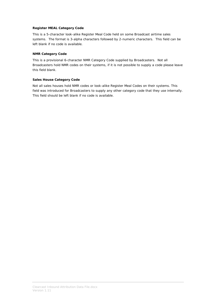## **Register MEAL Category Code**

This is a 5-character look-alike Register Meal Code held on some Broadcast airtime sales systems. The format is 3-alpha characters followed by 2-numeric characters. This field can be left blank if no code is available.

#### **NMR Category Code**

This is a provisional 6-character NMR Category Code supplied by Broadcasters. Not all Broadcasters hold NMR codes on their systems, if it is not possible to supply a code please leave this field blank.

# **Sales House Category Code**

Not all sales houses hold NMR codes or look-alike Register Meal Codes on their systems. This field was introduced for Broadcasters to supply any other category code that they use internally. This field should be left blank if no code is available.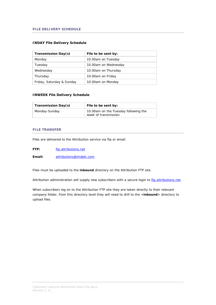# **INDAY File Delivery Schedule**

| Transmission Day(s)       | File to be sent by:  |
|---------------------------|----------------------|
| Monday                    | 10.00am on Tuesday   |
| Tuesday                   | 10.00am on Wednesday |
| Wednesday                 | 10.00am on Thursday  |
| Thursday                  | 10.00am on Friday    |
| Friday, Saturday & Sunday | 10.00am on Monday    |

# **INWEEK File Delivery Schedule**

| Transmission Day(s) | File to be sent by:                                          |  |
|---------------------|--------------------------------------------------------------|--|
| Monday-Sunday       | 10.00am on the Tuesday following the<br>week of transmission |  |

# **FILE TRANSFER**

Files are delivered to the Attribution service via ftp or email.

| FTP: | ftp.attributions.net |
|------|----------------------|
|      |                      |

**Email:** [attributions@imdplc.com](mailto:attributions@imdplc.com)

Files must be uploaded to the **inbound** directory on the Attribution FTP site.

Attribution administration will supply new subscribers with a secure login to [ftp.attributions.net.](ftp://ftp.attributions.net/)

When subscribers log on to the Attribution FTP site they are taken directly to their relevant company folder, from this directory level they will need to drill to the <**inbound**> directory to upload files.